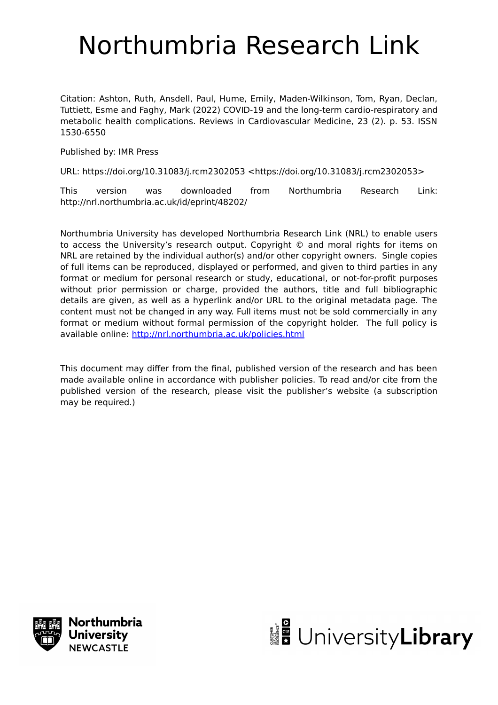# Northumbria Research Link

Citation: Ashton, Ruth, Ansdell, Paul, Hume, Emily, Maden-Wilkinson, Tom, Ryan, Declan, Tuttiett, Esme and Faghy, Mark (2022) COVID-19 and the long-term cardio-respiratory and metabolic health complications. Reviews in Cardiovascular Medicine, 23 (2). p. 53. ISSN 1530-6550

Published by: IMR Press

URL: https://doi.org/10.31083/j.rcm2302053 <https://doi.org/10.31083/j.rcm2302053>

This version was downloaded from Northumbria Research Link: http://nrl.northumbria.ac.uk/id/eprint/48202/

Northumbria University has developed Northumbria Research Link (NRL) to enable users to access the University's research output. Copyright © and moral rights for items on NRL are retained by the individual author(s) and/or other copyright owners. Single copies of full items can be reproduced, displayed or performed, and given to third parties in any format or medium for personal research or study, educational, or not-for-profit purposes without prior permission or charge, provided the authors, title and full bibliographic details are given, as well as a hyperlink and/or URL to the original metadata page. The content must not be changed in any way. Full items must not be sold commercially in any format or medium without formal permission of the copyright holder. The full policy is available online:<http://nrl.northumbria.ac.uk/policies.html>

This document may differ from the final, published version of the research and has been made available online in accordance with publisher policies. To read and/or cite from the published version of the research, please visit the publisher's website (a subscription may be required.)



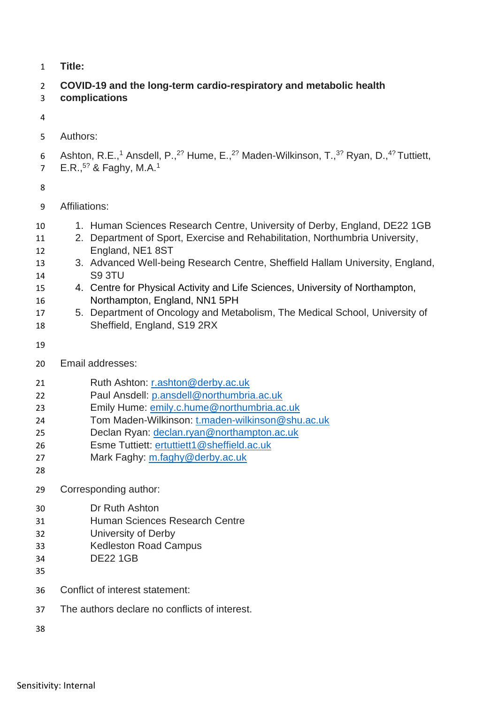**Title:** 

# **COVID-19 and the long-term cardio-respiratory and metabolic health**

**complications**

- Authors:
- 6 Ashton, R.E.,<sup>1</sup> Ansdell, P.,<sup>2?</sup> Hume, E.,<sup>2?</sup> Maden-Wilkinson, T.,<sup>3?</sup> Ryan, D.,<sup>4?</sup> Tuttiett,
- $E.R.,<sup>57</sup>$  & Faghy, M.A.<sup>1</sup>

- Affiliations:
- 1. Human Sciences Research Centre, University of Derby, England, DE22 1GB
- 2. Department of Sport, Exercise and Rehabilitation, Northumbria University, England, NE1 8ST
- 3. Advanced Well-being Research Centre, Sheffield Hallam University, England, S9 3TU
- 4. Centre for Physical Activity and Life Sciences, University of Northampton, Northampton, England, NN1 5PH
- 5. Department of Oncology and Metabolism, The Medical School, University of Sheffield, England, S19 2RX
- 
- Email addresses:
- Ruth Ashton: [r.ashton@derby.ac.uk](mailto:r.ashton@derby.ac.uk)
- Paul Ansdell: [p.ansdell@northumbria.ac.uk](mailto:p.ansdell@northumbria.ac.uk)
- Emily Hume: [emily.c.hume@northumbria.ac.uk](mailto:emily.c.hume@northumbria.ac.uk)
- Tom Maden-Wilkinson: [t.maden-wilkinson@shu.ac.uk](mailto:t.maden-wilkinson@shu.ac.uk)
- Declan Ryan: [declan.ryan@northampton.ac.uk](mailto:declan.ryan@northampton.ac.uk)
- Esme Tuttiett: [ertuttiett1@sheffield.ac.uk](mailto:ertuttiett1@sheffield.ac.uk)
- Mark Faghy: [m.faghy@derby.ac.uk](mailto:m.faghy@derby.ac.uk)
- 
- Corresponding author:
- Dr Ruth Ashton
- Human Sciences Research Centre
- University of Derby
- Kedleston Road Campus
- DE22 1GB
- 
- Conflict of interest statement:
- The authors declare no conflicts of interest.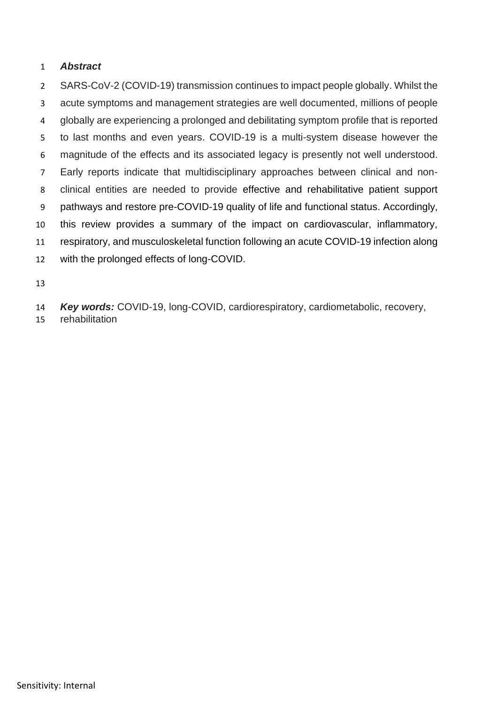## *Abstract*

 SARS-CoV-2 (COVID-19) transmission continues to impact people globally. Whilst the acute symptoms and management strategies are well documented, millions of people globally are experiencing a prolonged and debilitating symptom profile that is reported to last months and even years. COVID-19 is a multi-system disease however the magnitude of the effects and its associated legacy is presently not well understood. Early reports indicate that multidisciplinary approaches between clinical and non- clinical entities are needed to provide effective and rehabilitative patient support pathways and restore pre-COVID-19 quality of life and functional status. Accordingly, this review provides a summary of the impact on cardiovascular, inflammatory, respiratory, and musculoskeletal function following an acute COVID-19 infection along with the prolonged effects of long-COVID.

*Key words:* COVID-19, long-COVID, cardiorespiratory, cardiometabolic, recovery,

rehabilitation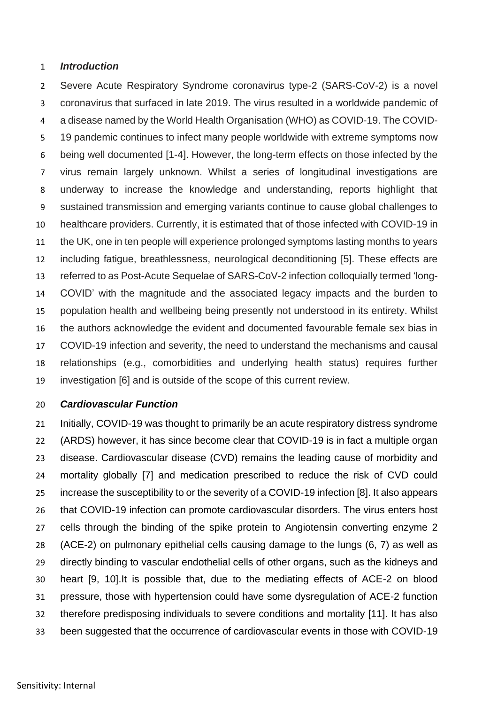#### *Introduction*

 Severe Acute Respiratory Syndrome coronavirus type-2 (SARS-CoV-2) is a novel coronavirus that surfaced in late 2019. The virus resulted in a worldwide pandemic of a disease named by the World Health Organisation (WHO) as COVID-19. The COVID- 19 pandemic continues to infect many people worldwide with extreme symptoms now being well documented [1-4]. However, the long-term effects on those infected by the virus remain largely unknown. Whilst a series of longitudinal investigations are underway to increase the knowledge and understanding, reports highlight that sustained transmission and emerging variants continue to cause global challenges to healthcare providers. Currently, it is estimated that of those infected with COVID-19 in the UK, one in ten people will experience prolonged symptoms lasting months to years including fatigue, breathlessness, neurological deconditioning [5]. These effects are referred to as Post-Acute Sequelae of SARS-CoV-2 infection colloquially termed 'long- COVID' with the magnitude and the associated legacy impacts and the burden to population health and wellbeing being presently not understood in its entirety. Whilst the authors acknowledge the evident and documented favourable female sex bias in COVID-19 infection and severity, the need to understand the mechanisms and causal relationships (e.g., comorbidities and underlying health status) requires further investigation [6] and is outside of the scope of this current review.

#### *Cardiovascular Function*

 Initially, COVID-19 was thought to primarily be an acute respiratory distress syndrome (ARDS) however, it has since become clear that COVID-19 is in fact a multiple organ disease. Cardiovascular disease (CVD) remains the leading cause of morbidity and mortality globally [7] and medication prescribed to reduce the risk of CVD could increase the susceptibility to or the severity of a COVID-19 infection [8]. It also appears that COVID-19 infection can promote cardiovascular disorders. The virus enters host cells through the binding of the spike protein to Angiotensin converting enzyme 2 (ACE-2) on pulmonary epithelial cells causing damage to the lungs (6, 7) as well as directly binding to vascular endothelial cells of other organs, such as the kidneys and heart [9, 10].It is possible that, due to the mediating effects of ACE-2 on blood pressure, those with hypertension could have some dysregulation of ACE-2 function therefore predisposing individuals to severe conditions and mortality [11]. It has also been suggested that the occurrence of cardiovascular events in those with COVID-19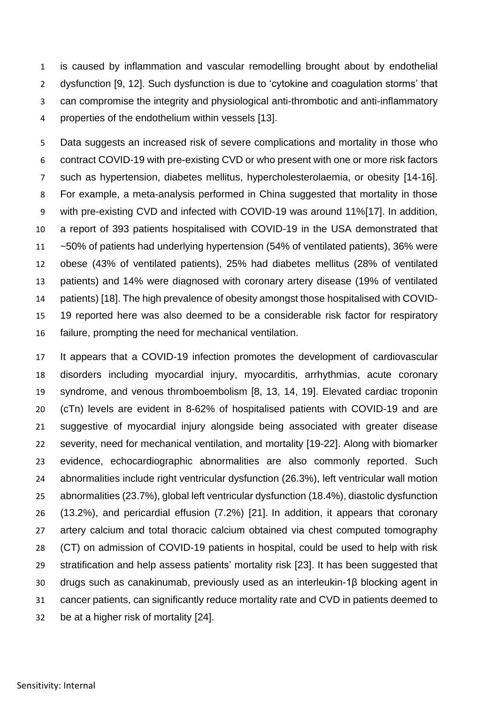is caused by inflammation and vascular remodelling brought about by endothelial dysfunction [9, 12]. Such dysfunction is due to 'cytokine and coagulation storms' that can compromise the integrity and physiological anti-thrombotic and anti-inflammatory properties of the endothelium within vessels [13].

5 Data suggests an increased risk of severe complications and mortality in those who contract COVID-19 with pre-existing CVD or who present with one or more risk factors such as hypertension, diabetes mellitus, hypercholesterolaemia, or obesity [14-16]. For example, a meta-analysis performed in China suggested that mortality in those with pre-existing CVD and infected with COVID-19 was around 11%[17]. In addition, a report of 393 patients hospitalised with COVID-19 in the USA demonstrated that ~50% of patients had underlying hypertension (54% of ventilated patients), 36% were obese (43% of ventilated patients), 25% had diabetes mellitus (28% of ventilated patients) and 14% were diagnosed with coronary artery disease (19% of ventilated patients) [18]. The high prevalence of obesity amongst those hospitalised with COVID- 19 reported here was also deemed to be a considerable risk factor for respiratory failure, prompting the need for mechanical ventilation.

 It appears that a COVID-19 infection promotes the development of cardiovascular disorders including myocardial injury, myocarditis, arrhythmias, acute coronary syndrome, and venous thromboembolism [8, 13, 14, 19]. Elevated cardiac troponin (cTn) levels are evident in 8-62% of hospitalised patients with COVID-19 and are suggestive of myocardial injury alongside being associated with greater disease severity, need for mechanical ventilation, and mortality [19-22]. Along with biomarker evidence, echocardiographic abnormalities are also commonly reported. Such abnormalities include right ventricular dysfunction (26.3%), left ventricular wall motion abnormalities (23.7%), global left ventricular dysfunction (18.4%), diastolic dysfunction (13.2%), and pericardial effusion (7.2%) [21]. In addition, it appears that coronary artery calcium and total thoracic calcium obtained via chest computed tomography (CT) on admission of COVID-19 patients in hospital, could be used to help with risk stratification and help assess patients' mortality risk [23]. It has been suggested that drugs such as canakinumab, previously used as an interleukin-1β blocking agent in cancer patients, can significantly reduce mortality rate and CVD in patients deemed to be at a higher risk of mortality [24].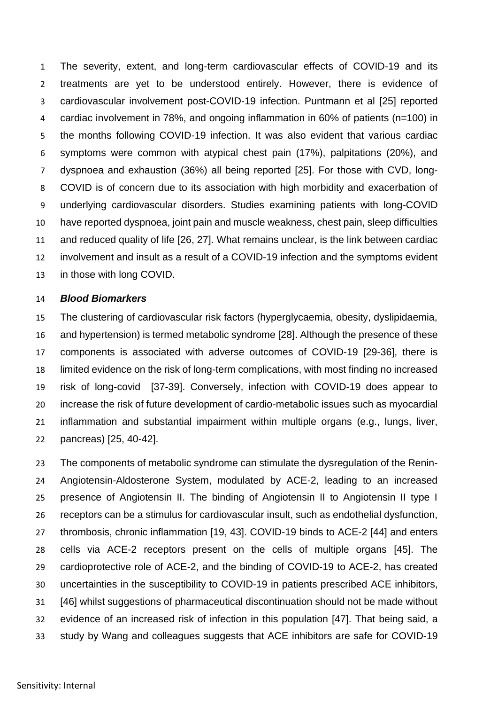The severity, extent, and long-term cardiovascular effects of COVID-19 and its treatments are yet to be understood entirely. However, there is evidence of cardiovascular involvement post-COVID-19 infection. Puntmann et al [25] reported cardiac involvement in 78%, and ongoing inflammation in 60% of patients (n=100) in the months following COVID-19 infection. It was also evident that various cardiac symptoms were common with atypical chest pain (17%), palpitations (20%), and dyspnoea and exhaustion (36%) all being reported [25]. For those with CVD, long- COVID is of concern due to its association with high morbidity and exacerbation of underlying cardiovascular disorders. Studies examining patients with long-COVID have reported dyspnoea, joint pain and muscle weakness, chest pain, sleep difficulties and reduced quality of life [26, 27]. What remains unclear, is the link between cardiac involvement and insult as a result of a COVID-19 infection and the symptoms evident in those with long COVID.

#### *Blood Biomarkers*

 The clustering of cardiovascular risk factors (hyperglycaemia, obesity, dyslipidaemia, and hypertension) is termed metabolic syndrome [28]. Although the presence of these components is associated with adverse outcomes of COVID-19 [29-36], there is limited evidence on the risk of long-term complications, with most finding no increased risk of long-covid [37-39]. Conversely, infection with COVID-19 does appear to increase the risk of future development of cardio-metabolic issues such as myocardial inflammation and substantial impairment within multiple organs (e.g., lungs, liver, pancreas) [25, 40-42].

 The components of metabolic syndrome can stimulate the dysregulation of the Renin- Angiotensin-Aldosterone System, modulated by ACE-2, leading to an increased presence of Angiotensin II. The binding of Angiotensin II to Angiotensin II type I receptors can be a stimulus for cardiovascular insult, such as endothelial dysfunction, thrombosis, chronic inflammation [19, 43]. COVID-19 binds to ACE-2 [44] and enters cells via ACE-2 receptors present on the cells of multiple organs [45]. The cardioprotective role of ACE-2, and the binding of COVID-19 to ACE-2, has created uncertainties in the susceptibility to COVID-19 in patients prescribed ACE inhibitors, [46] whilst suggestions of pharmaceutical discontinuation should not be made without evidence of an increased risk of infection in this population [47]. That being said, a study by Wang and colleagues suggests that ACE inhibitors are safe for COVID-19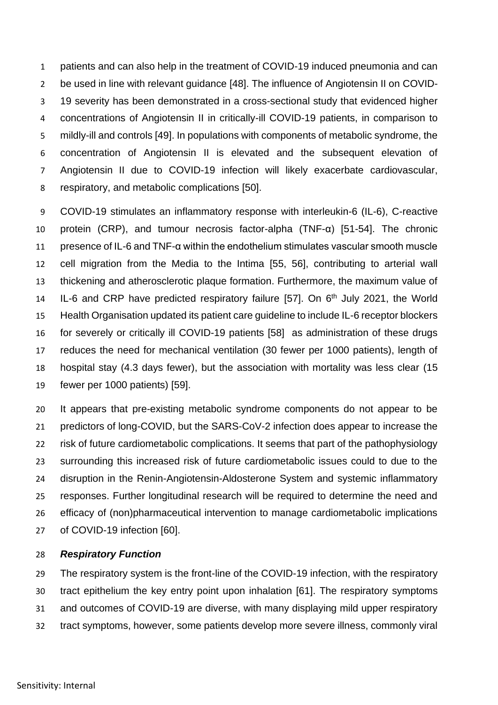patients and can also help in the treatment of COVID-19 induced pneumonia and can be used in line with relevant guidance [48]. The influence of Angiotensin II on COVID- 19 severity has been demonstrated in a cross-sectional study that evidenced higher concentrations of Angiotensin II in critically-ill COVID-19 patients, in comparison to mildly-ill and controls [49]. In populations with components of metabolic syndrome, the concentration of Angiotensin II is elevated and the subsequent elevation of Angiotensin II due to COVID-19 infection will likely exacerbate cardiovascular, respiratory, and metabolic complications [50].

 COVID-19 stimulates an inflammatory response with interleukin-6 (IL-6), C-reactive protein (CRP), and tumour necrosis factor-alpha (TNF-α) [51-54]. The chronic presence of IL-6 and TNF-α within the endothelium stimulates vascular smooth muscle cell migration from the Media to the Intima [55, 56], contributing to arterial wall thickening and atherosclerotic plaque formation. Furthermore, the maximum value of 14 IL-6 and CRP have predicted respiratory failure [57]. On  $6<sup>th</sup>$  July 2021, the World Health Organisation updated its patient care guideline to include IL-6 receptor blockers for severely or critically ill COVID-19 patients [58] as administration of these drugs reduces the need for mechanical ventilation (30 fewer per 1000 patients), length of hospital stay (4.3 days fewer), but the association with mortality was less clear (15 fewer per 1000 patients) [59].

 It appears that pre-existing metabolic syndrome components do not appear to be predictors of long-COVID, but the SARS-CoV-2 infection does appear to increase the risk of future cardiometabolic complications. It seems that part of the pathophysiology surrounding this increased risk of future cardiometabolic issues could to due to the disruption in the Renin-Angiotensin-Aldosterone System and systemic inflammatory responses. Further longitudinal research will be required to determine the need and efficacy of (non)pharmaceutical intervention to manage cardiometabolic implications of COVID-19 infection [60].

#### *Respiratory Function*

 The respiratory system is the front-line of the COVID-19 infection, with the respiratory tract epithelium the key entry point upon inhalation [61]. The respiratory symptoms and outcomes of COVID-19 are diverse, with many displaying mild upper respiratory tract symptoms, however, some patients develop more severe illness, commonly viral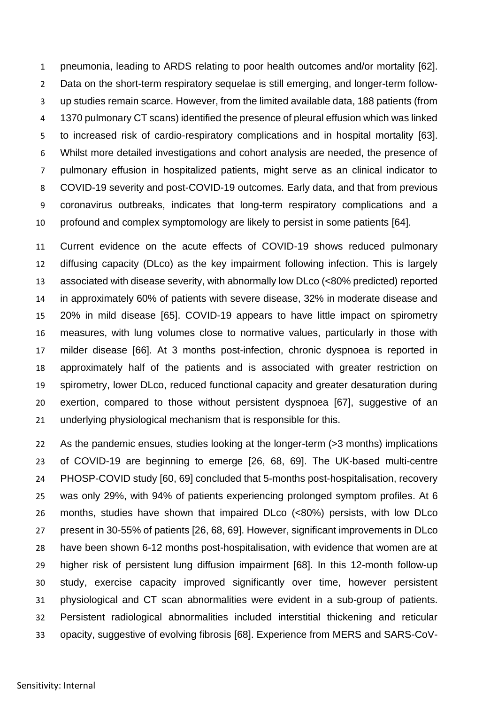pneumonia, leading to ARDS relating to poor health outcomes and/or mortality [62]. Data on the short-term respiratory sequelae is still emerging, and longer-term follow- up studies remain scarce. However, from the limited available data, 188 patients (from 1370 pulmonary CT scans) identified the presence of pleural effusion which was linked to increased risk of cardio-respiratory complications and in hospital mortality [63]. Whilst more detailed investigations and cohort analysis are needed, the presence of pulmonary effusion in hospitalized patients, might serve as an clinical indicator to COVID-19 severity and post-COVID-19 outcomes. Early data, and that from previous coronavirus outbreaks, indicates that long-term respiratory complications and a profound and complex symptomology are likely to persist in some patients [64].

 Current evidence on the acute effects of COVID-19 shows reduced pulmonary diffusing capacity (DLco) as the key impairment following infection. This is largely associated with disease severity, with abnormally low DLco (<80% predicted) reported in approximately 60% of patients with severe disease, 32% in moderate disease and 20% in mild disease [65]. COVID-19 appears to have little impact on spirometry measures, with lung volumes close to normative values, particularly in those with milder disease [66]. At 3 months post-infection, chronic dyspnoea is reported in approximately half of the patients and is associated with greater restriction on spirometry, lower DLco, reduced functional capacity and greater desaturation during exertion, compared to those without persistent dyspnoea [67], suggestive of an underlying physiological mechanism that is responsible for this.

 As the pandemic ensues, studies looking at the longer-term (>3 months) implications of COVID-19 are beginning to emerge [26, 68, 69]. The UK-based multi-centre PHOSP-COVID study [60, 69] concluded that 5-months post-hospitalisation, recovery was only 29%, with 94% of patients experiencing prolonged symptom profiles. At 6 months, studies have shown that impaired DLco (<80%) persists, with low DLco present in 30-55% of patients [26, 68, 69]. However, significant improvements in DLco have been shown 6-12 months post-hospitalisation, with evidence that women are at higher risk of persistent lung diffusion impairment [68]. In this 12-month follow-up study, exercise capacity improved significantly over time, however persistent physiological and CT scan abnormalities were evident in a sub-group of patients. Persistent radiological abnormalities included interstitial thickening and reticular opacity, suggestive of evolving fibrosis [68]. Experience from MERS and SARS-CoV-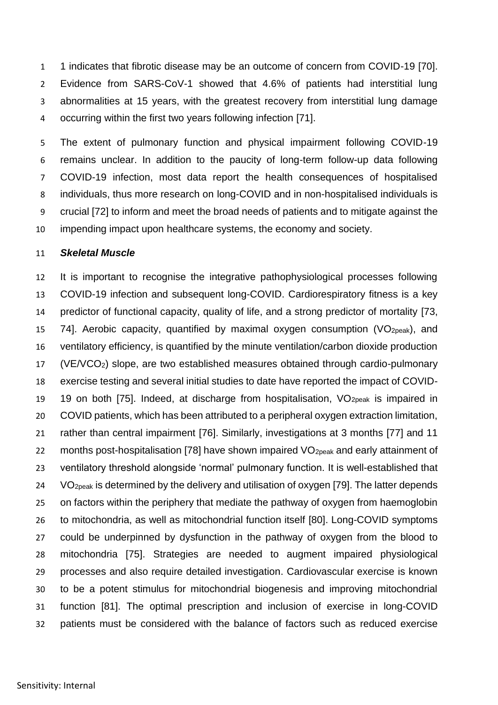1 indicates that fibrotic disease may be an outcome of concern from COVID-19 [70]. Evidence from SARS-CoV-1 showed that 4.6% of patients had interstitial lung abnormalities at 15 years, with the greatest recovery from interstitial lung damage occurring within the first two years following infection [71].

 The extent of pulmonary function and physical impairment following COVID-19 remains unclear. In addition to the paucity of long-term follow-up data following COVID-19 infection, most data report the health consequences of hospitalised individuals, thus more research on long-COVID and in non-hospitalised individuals is crucial [72] to inform and meet the broad needs of patients and to mitigate against the impending impact upon healthcare systems, the economy and society.

#### *Skeletal Muscle*

 It is important to recognise the integrative pathophysiological processes following COVID-19 infection and subsequent long-COVID. Cardiorespiratory fitness is a key predictor of functional capacity, quality of life, and a strong predictor of mortality [73, 15 74]. Aerobic capacity, quantified by maximal oxygen consumption ( $VO<sub>20eak</sub>$ ), and ventilatory efficiency, is quantified by the minute ventilation/carbon dioxide production (VE/VCO2) slope, are two established measures obtained through cardio-pulmonary exercise testing and several initial studies to date have reported the impact of COVID-19 19 on both [75]. Indeed, at discharge from hospitalisation,  $VO<sub>20eak</sub>$  is impaired in COVID patients, which has been attributed to a peripheral oxygen extraction limitation, rather than central impairment [76]. Similarly, investigations at 3 months [77] and 11 22 months post-hospitalisation [78] have shown impaired VO<sub>2peak</sub> and early attainment of ventilatory threshold alongside 'normal' pulmonary function. It is well-established that VO<sub>2peak</sub> is determined by the delivery and utilisation of oxygen [79]. The latter depends on factors within the periphery that mediate the pathway of oxygen from haemoglobin to mitochondria, as well as mitochondrial function itself [80]. Long-COVID symptoms could be underpinned by dysfunction in the pathway of oxygen from the blood to mitochondria [75]. Strategies are needed to augment impaired physiological processes and also require detailed investigation. Cardiovascular exercise is known to be a potent stimulus for mitochondrial biogenesis and improving mitochondrial function [81]. The optimal prescription and inclusion of exercise in long-COVID patients must be considered with the balance of factors such as reduced exercise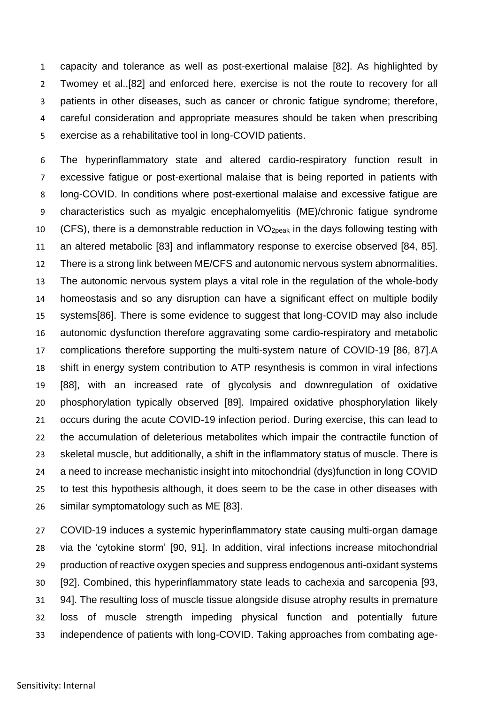capacity and tolerance as well as post-exertional malaise [82]. As highlighted by Twomey et al.,[82] and enforced here, exercise is not the route to recovery for all patients in other diseases, such as cancer or chronic fatigue syndrome; therefore, careful consideration and appropriate measures should be taken when prescribing exercise as a rehabilitative tool in long-COVID patients.

 The hyperinflammatory state and altered cardio-respiratory function result in excessive fatigue or post-exertional malaise that is being reported in patients with long-COVID. In conditions where post-exertional malaise and excessive fatigue are characteristics such as myalgic encephalomyelitis (ME)/chronic fatigue syndrome 10 (CFS), there is a demonstrable reduction in  $VO<sub>2peak</sub>$  in the days following testing with an altered metabolic [83] and inflammatory response to exercise observed [84, 85]. There is a strong link between ME/CFS and autonomic nervous system abnormalities. The autonomic nervous system plays a vital role in the regulation of the whole-body homeostasis and so any disruption can have a significant effect on multiple bodily systems[86]. There is some evidence to suggest that long-COVID may also include autonomic dysfunction therefore aggravating some cardio-respiratory and metabolic complications therefore supporting the multi-system nature of COVID-19 [86, 87].A shift in energy system contribution to ATP resynthesis is common in viral infections [88], with an increased rate of glycolysis and downregulation of oxidative phosphorylation typically observed [89]. Impaired oxidative phosphorylation likely 21 occurs during the acute COVID-19 infection period. During exercise, this can lead to the accumulation of deleterious metabolites which impair the contractile function of skeletal muscle, but additionally, a shift in the inflammatory status of muscle. There is a need to increase mechanistic insight into mitochondrial (dys)function in long COVID to test this hypothesis although, it does seem to be the case in other diseases with similar symptomatology such as ME [83].

 COVID-19 induces a systemic hyperinflammatory state causing multi-organ damage via the 'cytokine storm' [90, 91]. In addition, viral infections increase mitochondrial production of reactive oxygen species and suppress endogenous anti-oxidant systems [92]. Combined, this hyperinflammatory state leads to cachexia and sarcopenia [93, 94]. The resulting loss of muscle tissue alongside disuse atrophy results in premature loss of muscle strength impeding physical function and potentially future independence of patients with long-COVID. Taking approaches from combating age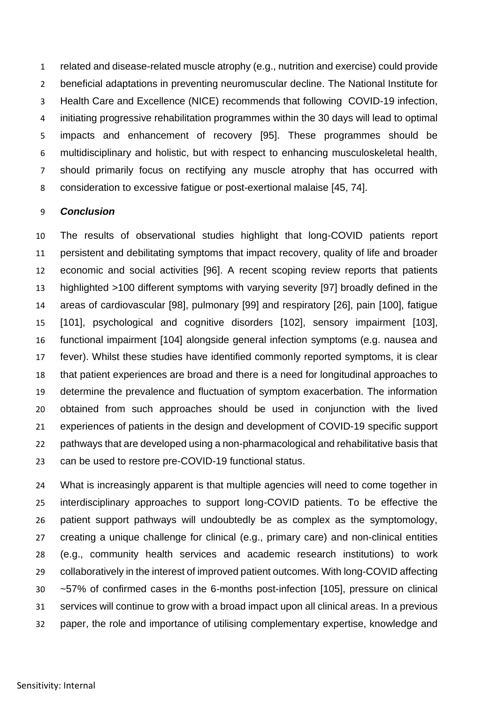related and disease-related muscle atrophy (e.g., nutrition and exercise) could provide beneficial adaptations in preventing neuromuscular decline. The National Institute for Health Care and Excellence (NICE) recommends that following COVID-19 infection, initiating progressive rehabilitation programmes within the 30 days will lead to optimal impacts and enhancement of recovery [95]. These programmes should be multidisciplinary and holistic, but with respect to enhancing musculoskeletal health, should primarily focus on rectifying any muscle atrophy that has occurred with consideration to excessive fatigue or post-exertional malaise [45, 74].

#### *Conclusion*

 The results of observational studies highlight that long-COVID patients report persistent and debilitating symptoms that impact recovery, quality of life and broader economic and social activities [96]. A recent scoping review reports that patients highlighted >100 different symptoms with varying severity [97] broadly defined in the areas of cardiovascular [98], pulmonary [99] and respiratory [26], pain [100], fatigue [101], psychological and cognitive disorders [102], sensory impairment [103], functional impairment [104] alongside general infection symptoms (e.g. nausea and fever). Whilst these studies have identified commonly reported symptoms, it is clear that patient experiences are broad and there is a need for longitudinal approaches to determine the prevalence and fluctuation of symptom exacerbation. The information obtained from such approaches should be used in conjunction with the lived experiences of patients in the design and development of COVID-19 specific support pathways that are developed using a non-pharmacological and rehabilitative basis that can be used to restore pre-COVID-19 functional status.

 What is increasingly apparent is that multiple agencies will need to come together in interdisciplinary approaches to support long-COVID patients. To be effective the patient support pathways will undoubtedly be as complex as the symptomology, creating a unique challenge for clinical (e.g., primary care) and non-clinical entities (e.g., community health services and academic research institutions) to work collaboratively in the interest of improved patient outcomes. With long-COVID affecting ~57% of confirmed cases in the 6-months post-infection [105], pressure on clinical services will continue to grow with a broad impact upon all clinical areas. In a previous paper, the role and importance of utilising complementary expertise, knowledge and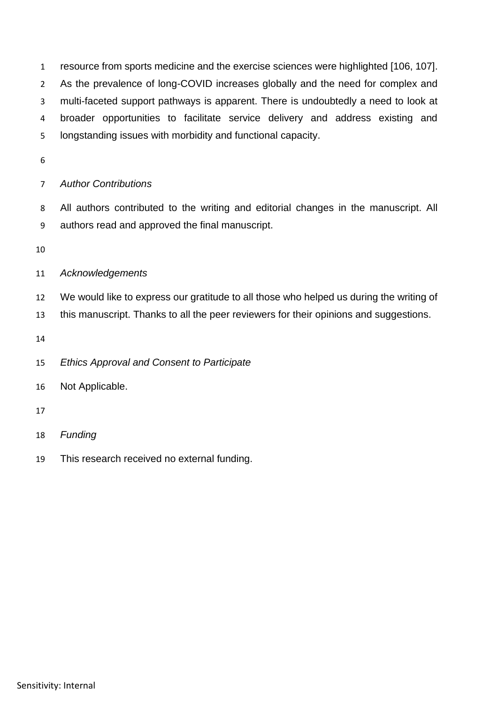resource from sports medicine and the exercise sciences were highlighted [106, 107]. As the prevalence of long-COVID increases globally and the need for complex and multi-faceted support pathways is apparent. There is undoubtedly a need to look at broader opportunities to facilitate service delivery and address existing and longstanding issues with morbidity and functional capacity.

## *Author Contributions*

 All authors contributed to the writing and editorial changes in the manuscript. All authors read and approved the final manuscript.

## *Acknowledgements*

We would like to express our gratitude to all those who helped us during the writing of

this manuscript. Thanks to all the peer reviewers for their opinions and suggestions.

*Ethics Approval and Consent to Participate*

Not Applicable.

- *Funding*
- This research received no external funding.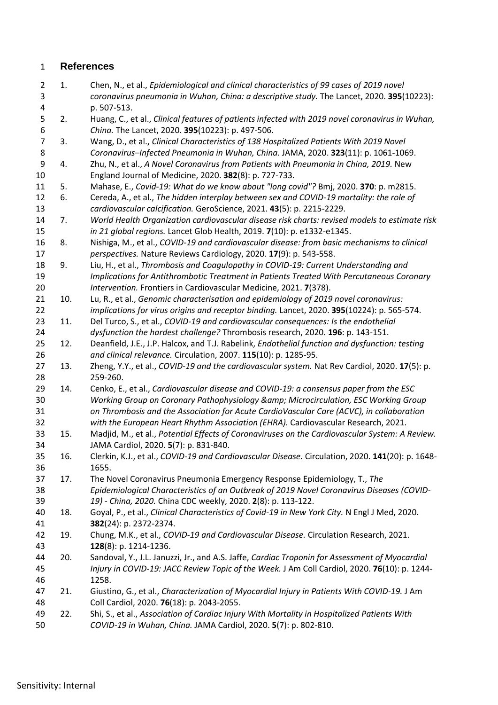## **References**

- 1. Chen, N., et al., *Epidemiological and clinical characteristics of 99 cases of 2019 novel coronavirus pneumonia in Wuhan, China: a descriptive study.* The Lancet, 2020. **395**(10223): p. 507-513.
- 2. Huang, C., et al., *Clinical features of patients infected with 2019 novel coronavirus in Wuhan, China.* The Lancet, 2020. **395**(10223): p. 497-506.
- 3. Wang, D., et al., *Clinical Characteristics of 138 Hospitalized Patients With 2019 Novel Coronavirus–Infected Pneumonia in Wuhan, China.* JAMA, 2020. **323**(11): p. 1061-1069.
- 4. Zhu, N., et al., *A Novel Coronavirus from Patients with Pneumonia in China, 2019.* New England Journal of Medicine, 2020. **382**(8): p. 727-733.
- 5. Mahase, E., *Covid-19: What do we know about "long covid"?* Bmj, 2020. **370**: p. m2815.
- 6. Cereda, A., et al., *The hidden interplay between sex and COVID-19 mortality: the role of cardiovascular calcification.* GeroScience, 2021. **43**(5): p. 2215-2229.
- 7. *World Health Organization cardiovascular disease risk charts: revised models to estimate risk in 21 global regions.* Lancet Glob Health, 2019. **7**(10): p. e1332-e1345.
- 8. Nishiga, M., et al., *COVID-19 and cardiovascular disease: from basic mechanisms to clinical perspectives.* Nature Reviews Cardiology, 2020. **17**(9): p. 543-558.
- 9. Liu, H., et al., *Thrombosis and Coagulopathy in COVID-19: Current Understanding and Implications for Antithrombotic Treatment in Patients Treated With Percutaneous Coronary Intervention.* Frontiers in Cardiovascular Medicine, 2021. **7**(378).
- 10. Lu, R., et al., *Genomic characterisation and epidemiology of 2019 novel coronavirus: implications for virus origins and receptor binding.* Lancet, 2020. **395**(10224): p. 565-574.
- 11. Del Turco, S., et al., *COVID-19 and cardiovascular consequences: Is the endothelial dysfunction the hardest challenge?* Thrombosis research, 2020. **196**: p. 143-151.
- 12. Deanfield, J.E., J.P. Halcox, and T.J. Rabelink, *Endothelial function and dysfunction: testing and clinical relevance.* Circulation, 2007. **115**(10): p. 1285-95.
- 13. Zheng, Y.Y., et al., *COVID-19 and the cardiovascular system.* Nat Rev Cardiol, 2020. **17**(5): p. 259-260.
- 14. Cenko, E., et al., *Cardiovascular disease and COVID-19: a consensus paper from the ESC Working Group on Coronary Pathophysiology & Microcirculation, ESC Working Group on Thrombosis and the Association for Acute CardioVascular Care (ACVC), in collaboration with the European Heart Rhythm Association (EHRA).* Cardiovascular Research, 2021.
- 15. Madjid, M., et al., *Potential Effects of Coronaviruses on the Cardiovascular System: A Review.* JAMA Cardiol, 2020. **5**(7): p. 831-840.
- 16. Clerkin, K.J., et al., *COVID-19 and Cardiovascular Disease.* Circulation, 2020. **141**(20): p. 1648- 1655.
- 17. The Novel Coronavirus Pneumonia Emergency Response Epidemiology, T., *The Epidemiological Characteristics of an Outbreak of 2019 Novel Coronavirus Diseases (COVID-19) - China, 2020.* China CDC weekly, 2020. **2**(8): p. 113-122.
- 18. Goyal, P., et al., *Clinical Characteristics of Covid-19 in New York City.* N Engl J Med, 2020. **382**(24): p. 2372-2374.
- 19. Chung, M.K., et al., *COVID-19 and Cardiovascular Disease.* Circulation Research, 2021. **128**(8): p. 1214-1236.
- 20. Sandoval, Y., J.L. Januzzi, Jr., and A.S. Jaffe, *Cardiac Troponin for Assessment of Myocardial Injury in COVID-19: JACC Review Topic of the Week.* J Am Coll Cardiol, 2020. **76**(10): p. 1244- 1258.
- 21. Giustino, G., et al., *Characterization of Myocardial Injury in Patients With COVID-19.* J Am Coll Cardiol, 2020. **76**(18): p. 2043-2055.
- 22. Shi, S., et al., *Association of Cardiac Injury With Mortality in Hospitalized Patients With COVID-19 in Wuhan, China.* JAMA Cardiol, 2020. **5**(7): p. 802-810.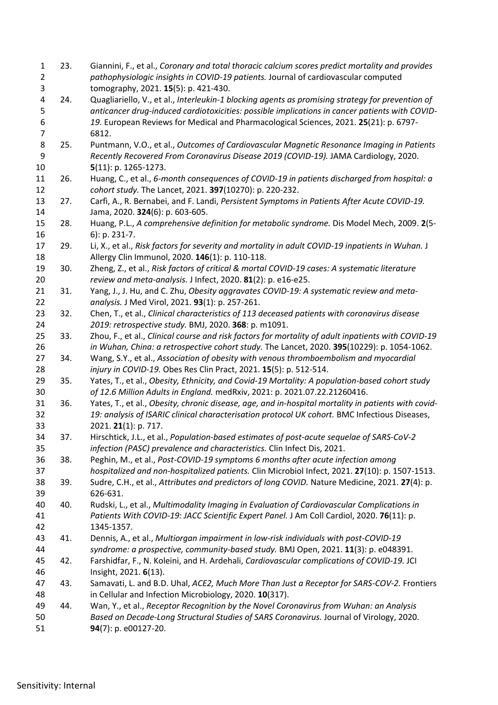| $\mathbf{1}$<br>$\overline{2}$ | 23. | Giannini, F., et al., Coronary and total thoracic calcium scores predict mortality and provides<br>pathophysiologic insights in COVID-19 patients. Journal of cardiovascular computed                                                                                                       |
|--------------------------------|-----|---------------------------------------------------------------------------------------------------------------------------------------------------------------------------------------------------------------------------------------------------------------------------------------------|
| 3                              |     | tomography, 2021. 15(5): p. 421-430.                                                                                                                                                                                                                                                        |
| 4<br>5<br>6                    | 24. | Quagliariello, V., et al., Interleukin-1 blocking agents as promising strategy for prevention of<br>anticancer drug-induced cardiotoxicities: possible implications in cancer patients with COVID-<br>19. European Reviews for Medical and Pharmacological Sciences, 2021. 25(21): p. 6797- |
| 7                              |     | 6812.                                                                                                                                                                                                                                                                                       |
| 8                              | 25. | Puntmann, V.O., et al., Outcomes of Cardiovascular Magnetic Resonance Imaging in Patients                                                                                                                                                                                                   |
| 9                              |     | Recently Recovered From Coronavirus Disease 2019 (COVID-19). JAMA Cardiology, 2020.                                                                                                                                                                                                         |
| 10                             |     | $5(11)$ : p. 1265-1273.                                                                                                                                                                                                                                                                     |
| 11                             | 26. | Huang, C., et al., 6-month consequences of COVID-19 in patients discharged from hospital: a                                                                                                                                                                                                 |
| 12                             |     | cohort study. The Lancet, 2021. 397(10270): p. 220-232.                                                                                                                                                                                                                                     |
| 13                             | 27. | Carfi, A., R. Bernabei, and F. Landi, Persistent Symptoms in Patients After Acute COVID-19.                                                                                                                                                                                                 |
| 14                             |     | Jama, 2020. 324(6): p. 603-605.                                                                                                                                                                                                                                                             |
| 15<br>16                       | 28. | Huang, P.L., A comprehensive definition for metabolic syndrome. Dis Model Mech, 2009. 2(5-<br>6): p. 231-7.                                                                                                                                                                                 |
| 17                             | 29. | Li, X., et al., Risk factors for severity and mortality in adult COVID-19 inpatients in Wuhan. J                                                                                                                                                                                            |
| 18                             |     | Allergy Clin Immunol, 2020. 146(1): p. 110-118.                                                                                                                                                                                                                                             |
| 19                             | 30. | Zheng, Z., et al., Risk factors of critical & mortal COVID-19 cases: A systematic literature                                                                                                                                                                                                |
| 20                             |     | review and meta-analysis. J Infect, 2020. 81(2): p. e16-e25.                                                                                                                                                                                                                                |
| 21                             | 31. | Yang, J., J. Hu, and C. Zhu, Obesity aggravates COVID-19: A systematic review and meta-                                                                                                                                                                                                     |
| 22                             |     | analysis. J Med Virol, 2021. 93(1): p. 257-261.                                                                                                                                                                                                                                             |
| 23                             | 32. | Chen, T., et al., Clinical characteristics of 113 deceased patients with coronavirus disease                                                                                                                                                                                                |
| 24                             |     | 2019: retrospective study. BMJ, 2020. 368: p. m1091.                                                                                                                                                                                                                                        |
| 25                             | 33. | Zhou, F., et al., Clinical course and risk factors for mortality of adult inpatients with COVID-19                                                                                                                                                                                          |
| 26                             |     | in Wuhan, China: a retrospective cohort study. The Lancet, 2020. 395(10229): p. 1054-1062.                                                                                                                                                                                                  |
| 27                             | 34. | Wang, S.Y., et al., Association of obesity with venous thromboembolism and myocardial                                                                                                                                                                                                       |
| 28                             |     | injury in COVID-19. Obes Res Clin Pract, 2021. 15(5): p. 512-514.                                                                                                                                                                                                                           |
| 29                             | 35. | Yates, T., et al., Obesity, Ethnicity, and Covid-19 Mortality: A population-based cohort study                                                                                                                                                                                              |
| 30                             |     | of 12.6 Million Adults in England. medRxiv, 2021: p. 2021.07.22.21260416.                                                                                                                                                                                                                   |
| 31                             | 36. | Yates, T., et al., Obesity, chronic disease, age, and in-hospital mortality in patients with covid-                                                                                                                                                                                         |
| 32                             |     | 19: analysis of ISARIC clinical characterisation protocol UK cohort. BMC Infectious Diseases,                                                                                                                                                                                               |
| 33                             |     | 2021. 21(1): p. 717.                                                                                                                                                                                                                                                                        |
| 34                             | 37. | Hirschtick, J.L., et al., Population-based estimates of post-acute sequelae of SARS-CoV-2                                                                                                                                                                                                   |
| 35                             |     | infection (PASC) prevalence and characteristics. Clin Infect Dis, 2021.                                                                                                                                                                                                                     |
| 36                             | 38. | Peghin, M., et al., Post-COVID-19 symptoms 6 months after acute infection among                                                                                                                                                                                                             |
| 37                             |     | hospitalized and non-hospitalized patients. Clin Microbiol Infect, 2021. 27(10): p. 1507-1513.                                                                                                                                                                                              |
| 38                             | 39. | Sudre, C.H., et al., Attributes and predictors of long COVID. Nature Medicine, 2021. 27(4): p.                                                                                                                                                                                              |
| 39                             |     | 626-631.                                                                                                                                                                                                                                                                                    |
| 40                             | 40. | Rudski, L., et al., Multimodality Imaging in Evaluation of Cardiovascular Complications in                                                                                                                                                                                                  |
| 41                             |     | Patients With COVID-19: JACC Scientific Expert Panel. J Am Coll Cardiol, 2020. 76(11): p.                                                                                                                                                                                                   |
| 42                             |     | 1345-1357.                                                                                                                                                                                                                                                                                  |
| 43                             | 41. | Dennis, A., et al., Multiorgan impairment in low-risk individuals with post-COVID-19                                                                                                                                                                                                        |
| 44                             |     | syndrome: a prospective, community-based study. BMJ Open, 2021. 11(3): p. e048391.                                                                                                                                                                                                          |
| 45                             | 42. | Farshidfar, F., N. Koleini, and H. Ardehali, Cardiovascular complications of COVID-19. JCI                                                                                                                                                                                                  |
| 46                             |     | Insight, 2021. 6(13).                                                                                                                                                                                                                                                                       |
| 47                             | 43. | Samavati, L. and B.D. Uhal, ACE2, Much More Than Just a Receptor for SARS-COV-2. Frontiers                                                                                                                                                                                                  |
| 48                             |     | in Cellular and Infection Microbiology, 2020. 10(317).                                                                                                                                                                                                                                      |
| 49                             | 44. | Wan, Y., et al., Receptor Recognition by the Novel Coronavirus from Wuhan: an Analysis                                                                                                                                                                                                      |
| 50                             |     | Based on Decade-Long Structural Studies of SARS Coronavirus. Journal of Virology, 2020.                                                                                                                                                                                                     |
| 51                             |     | 94(7): p. e00127-20.                                                                                                                                                                                                                                                                        |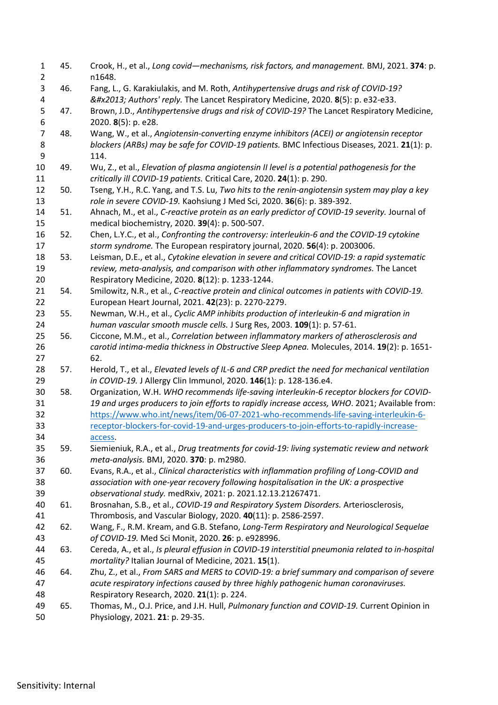| $\mathbf{1}$<br>$\overline{2}$ | 45. | Crook, H., et al., Long covid-mechanisms, risk factors, and management. BMJ, 2021. 374: p.<br>n1648.                                                               |
|--------------------------------|-----|--------------------------------------------------------------------------------------------------------------------------------------------------------------------|
| 3<br>4                         | 46. | Fang, L., G. Karakiulakis, and M. Roth, Antihypertensive drugs and risk of COVID-19?<br>– Authors' reply. The Lancet Respiratory Medicine, 2020. 8(5): p. e32-e33. |
| 5<br>6                         | 47. | Brown, J.D., Antihypertensive drugs and risk of COVID-19? The Lancet Respiratory Medicine,<br>2020. 8(5): p. e28.                                                  |
| $\overline{7}$                 | 48. | Wang, W., et al., Angiotensin-converting enzyme inhibitors (ACEI) or angiotensin receptor                                                                          |
| 8                              |     | blockers (ARBs) may be safe for COVID-19 patients. BMC Infectious Diseases, 2021. 21(1): p.                                                                        |
| 9                              |     | 114.                                                                                                                                                               |
| 10                             | 49. | Wu, Z., et al., Elevation of plasma angiotensin II level is a potential pathogenesis for the                                                                       |
| 11                             |     | critically ill COVID-19 patients. Critical Care, 2020. 24(1): p. 290.                                                                                              |
| 12                             | 50. | Tseng, Y.H., R.C. Yang, and T.S. Lu, Two hits to the renin-angiotensin system may play a key                                                                       |
| 13                             |     | role in severe COVID-19. Kaohsiung J Med Sci, 2020. 36(6): p. 389-392.                                                                                             |
| 14                             | 51. | Ahnach, M., et al., C-reactive protein as an early predictor of COVID-19 severity. Journal of                                                                      |
| 15                             |     | medical biochemistry, 2020. 39(4): p. 500-507.                                                                                                                     |
| 16                             | 52. | Chen, L.Y.C., et al., Confronting the controversy: interleukin-6 and the COVID-19 cytokine                                                                         |
| 17                             |     | storm syndrome. The European respiratory journal, 2020. 56(4): p. 2003006.                                                                                         |
| 18                             | 53. | Leisman, D.E., et al., Cytokine elevation in severe and critical COVID-19: a rapid systematic                                                                      |
| 19                             |     | review, meta-analysis, and comparison with other inflammatory syndromes. The Lancet                                                                                |
| 20                             |     | Respiratory Medicine, 2020. 8(12): p. 1233-1244.                                                                                                                   |
| 21                             | 54. | Smilowitz, N.R., et al., C-reactive protein and clinical outcomes in patients with COVID-19.                                                                       |
| 22                             |     | European Heart Journal, 2021. 42(23): p. 2270-2279.                                                                                                                |
| 23                             | 55. | Newman, W.H., et al., Cyclic AMP inhibits production of interleukin-6 and migration in                                                                             |
| 24                             |     | human vascular smooth muscle cells. J Surg Res, 2003. 109(1): p. 57-61.                                                                                            |
| 25                             | 56. | Ciccone, M.M., et al., Correlation between inflammatory markers of atherosclerosis and                                                                             |
| 26                             |     | carotid intima-media thickness in Obstructive Sleep Apnea. Molecules, 2014. 19(2): p. 1651-                                                                        |
| 27                             |     | 62.                                                                                                                                                                |
| 28                             | 57. | Herold, T., et al., Elevated levels of IL-6 and CRP predict the need for mechanical ventilation                                                                    |
| 29                             |     | in COVID-19. J Allergy Clin Immunol, 2020. 146(1): p. 128-136.e4.                                                                                                  |
| 30                             | 58. | Organization, W.H. WHO recommends life-saving interleukin-6 receptor blockers for COVID-                                                                           |
| 31                             |     | 19 and urges producers to join efforts to rapidly increase access, WHO. 2021; Available from:                                                                      |
| 32                             |     | https://www.who.int/news/item/06-07-2021-who-recommends-life-saving-interleukin-6-                                                                                 |
| 33                             |     | receptor-blockers-for-covid-19-and-urges-producers-to-join-efforts-to-rapidly-increase-                                                                            |
| 34                             |     | access.                                                                                                                                                            |
| 35                             | 59. | Siemieniuk, R.A., et al., Drug treatments for covid-19: living systematic review and network                                                                       |
| 36                             |     | meta-analysis. BMJ, 2020. 370: p. m2980.                                                                                                                           |
| 37                             | 60. | Evans, R.A., et al., Clinical characteristics with inflammation profiling of Long-COVID and                                                                        |
| 38                             |     | association with one-year recovery following hospitalisation in the UK: a prospective                                                                              |
| 39                             |     | observational study. medRxiv, 2021: p. 2021.12.13.21267471.                                                                                                        |
| 40                             | 61. | Brosnahan, S.B., et al., COVID-19 and Respiratory System Disorders. Arteriosclerosis,                                                                              |
| 41                             |     | Thrombosis, and Vascular Biology, 2020. 40(11): p. 2586-2597.                                                                                                      |
| 42                             | 62. | Wang, F., R.M. Kream, and G.B. Stefano, Long-Term Respiratory and Neurological Sequelae                                                                            |
| 43                             |     | of COVID-19. Med Sci Monit, 2020. 26: p. e928996.                                                                                                                  |
| 44                             | 63. | Cereda, A., et al., Is pleural effusion in COVID-19 interstitial pneumonia related to in-hospital                                                                  |
| 45                             |     | mortality? Italian Journal of Medicine, 2021. 15(1).                                                                                                               |
| 46                             | 64. | Zhu, Z., et al., From SARS and MERS to COVID-19: a brief summary and comparison of severe                                                                          |
| 47                             |     | acute respiratory infections caused by three highly pathogenic human coronaviruses.                                                                                |
| 48                             |     | Respiratory Research, 2020. 21(1): p. 224.                                                                                                                         |
| 49                             | 65. | Thomas, M., O.J. Price, and J.H. Hull, Pulmonary function and COVID-19. Current Opinion in                                                                         |
| 50                             |     | Physiology, 2021. 21: p. 29-35.                                                                                                                                    |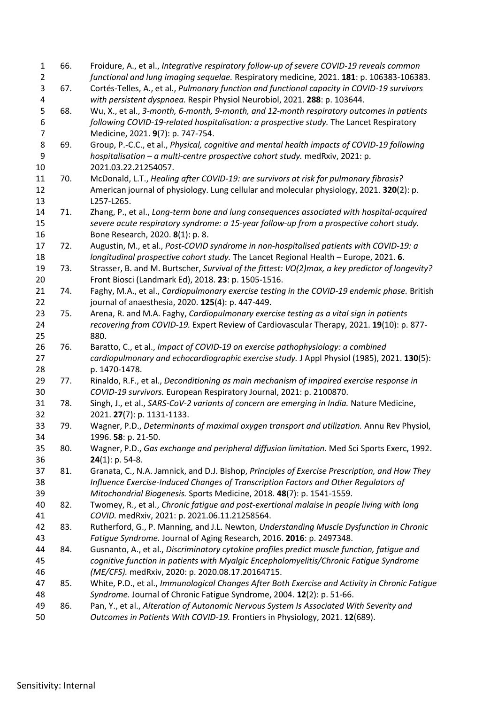| $\mathbf{1}$   | 66. | Froidure, A., et al., Integrative respiratory follow-up of severe COVID-19 reveals common                                                                                |
|----------------|-----|--------------------------------------------------------------------------------------------------------------------------------------------------------------------------|
| $\overline{2}$ |     | functional and lung imaging sequelae. Respiratory medicine, 2021. 181: p. 106383-106383.                                                                                 |
| 3<br>4         | 67. | Cortés-Telles, A., et al., Pulmonary function and functional capacity in COVID-19 survivors<br>with persistent dyspnoea. Respir Physiol Neurobiol, 2021. 288: p. 103644. |
| 5              | 68. | Wu, X., et al., 3-month, 6-month, 9-month, and 12-month respiratory outcomes in patients                                                                                 |
| 6              |     | following COVID-19-related hospitalisation: a prospective study. The Lancet Respiratory                                                                                  |
| $\overline{7}$ |     | Medicine, 2021. 9(7): p. 747-754.                                                                                                                                        |
| 8              | 69. | Group, P.-C.C., et al., Physical, cognitive and mental health impacts of COVID-19 following                                                                              |
| 9              |     | hospitalisation - a multi-centre prospective cohort study. medRxiv, 2021: p.                                                                                             |
| 10             |     | 2021.03.22.21254057.                                                                                                                                                     |
| 11             | 70. | McDonald, L.T., Healing after COVID-19: are survivors at risk for pulmonary fibrosis?                                                                                    |
| 12             |     | American journal of physiology. Lung cellular and molecular physiology, 2021. 320(2): p.                                                                                 |
| 13             |     | L257-L265.                                                                                                                                                               |
| 14             | 71. | Zhang, P., et al., Long-term bone and lung consequences associated with hospital-acquired                                                                                |
| 15             |     | severe acute respiratory syndrome: a 15-year follow-up from a prospective cohort study.                                                                                  |
| 16             |     | Bone Research, 2020. 8(1): p. 8.                                                                                                                                         |
| 17             | 72. | Augustin, M., et al., Post-COVID syndrome in non-hospitalised patients with COVID-19: a                                                                                  |
| 18             |     | longitudinal prospective cohort study. The Lancet Regional Health - Europe, 2021. 6.                                                                                     |
| 19             | 73. | Strasser, B. and M. Burtscher, Survival of the fittest: VO(2)max, a key predictor of longevity?                                                                          |
| 20             |     | Front Biosci (Landmark Ed), 2018. 23: p. 1505-1516.                                                                                                                      |
| 21             | 74. | Faghy, M.A., et al., Cardiopulmonary exercise testing in the COVID-19 endemic phase. British                                                                             |
| 22             |     | journal of anaesthesia, 2020. 125(4): p. 447-449.                                                                                                                        |
| 23             | 75. | Arena, R. and M.A. Faghy, Cardiopulmonary exercise testing as a vital sign in patients                                                                                   |
| 24             |     | recovering from COVID-19. Expert Review of Cardiovascular Therapy, 2021. 19(10): p. 877-                                                                                 |
| 25             |     | 880.                                                                                                                                                                     |
| 26             | 76. | Baratto, C., et al., Impact of COVID-19 on exercise pathophysiology: a combined                                                                                          |
| 27             |     | cardiopulmonary and echocardiographic exercise study. J Appl Physiol (1985), 2021. 130(5):                                                                               |
| 28             |     | p. 1470-1478.                                                                                                                                                            |
| 29             | 77. | Rinaldo, R.F., et al., Deconditioning as main mechanism of impaired exercise response in                                                                                 |
| 30             |     | COVID-19 survivors. European Respiratory Journal, 2021: p. 2100870.                                                                                                      |
| 31             | 78. | Singh, J., et al., SARS-CoV-2 variants of concern are emerging in India. Nature Medicine,                                                                                |
| 32             |     | 2021. 27(7): p. 1131-1133.                                                                                                                                               |
| 33             | 79. | Wagner, P.D., Determinants of maximal oxygen transport and utilization. Annu Rev Physiol,                                                                                |
| 34             |     | 1996. 58: p. 21-50.                                                                                                                                                      |
| 35             | 80. | Wagner, P.D., Gas exchange and peripheral diffusion limitation. Med Sci Sports Exerc, 1992.                                                                              |
| 36             |     | $24(1)$ : p. 54-8.                                                                                                                                                       |
| 37             | 81. | Granata, C., N.A. Jamnick, and D.J. Bishop, Principles of Exercise Prescription, and How They                                                                            |
| 38             |     | Influence Exercise-Induced Changes of Transcription Factors and Other Regulators of                                                                                      |
| 39             |     | Mitochondrial Biogenesis. Sports Medicine, 2018. 48(7): p. 1541-1559.                                                                                                    |
| 40             | 82. | Twomey, R., et al., Chronic fatique and post-exertional malaise in people living with long                                                                               |
| 41             |     | COVID. medRxiv, 2021: p. 2021.06.11.21258564.                                                                                                                            |
| 42             | 83. | Rutherford, G., P. Manning, and J.L. Newton, Understanding Muscle Dysfunction in Chronic                                                                                 |
| 43             |     | Fatique Syndrome. Journal of Aging Research, 2016. 2016: p. 2497348.                                                                                                     |
| 44             | 84. | Gusnanto, A., et al., Discriminatory cytokine profiles predict muscle function, fatigue and                                                                              |
| 45             |     | cognitive function in patients with Myalgic Encephalomyelitis/Chronic Fatigue Syndrome                                                                                   |
| 46             |     | (ME/CFS). medRxiv, 2020: p. 2020.08.17.20164715.                                                                                                                         |
| 47             | 85. | White, P.D., et al., Immunological Changes After Both Exercise and Activity in Chronic Fatigue                                                                           |
| 48             |     | Syndrome. Journal of Chronic Fatigue Syndrome, 2004. 12(2): p. 51-66.                                                                                                    |
| 49             | 86. | Pan, Y., et al., Alteration of Autonomic Nervous System Is Associated With Severity and                                                                                  |
| 50             |     | Outcomes in Patients With COVID-19. Frontiers in Physiology, 2021. 12(689).                                                                                              |